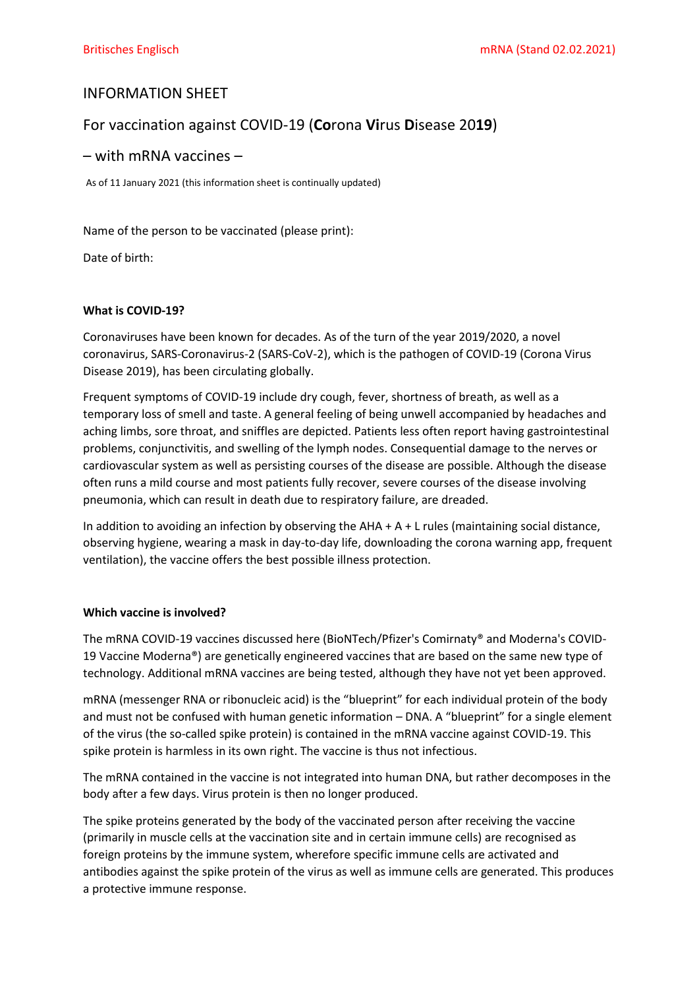# INFORMATION SHEET

# For vaccination against COVID-19 (**Co**rona **Vi**rus **D**isease 20**19**)

# – with mRNA vaccines –

As of 11 January 2021 (this information sheet is continually updated)

Name of the person to be vaccinated (please print):

Date of birth:

## **What is COVID-19?**

Coronaviruses have been known for decades. As of the turn of the year 2019/2020, a novel coronavirus, SARS-Coronavirus-2 (SARS-CoV-2), which is the pathogen of COVID-19 (Corona Virus Disease 2019), has been circulating globally.

Frequent symptoms of COVID-19 include dry cough, fever, shortness of breath, as well as a temporary loss of smell and taste. A general feeling of being unwell accompanied by headaches and aching limbs, sore throat, and sniffles are depicted. Patients less often report having gastrointestinal problems, conjunctivitis, and swelling of the lymph nodes. Consequential damage to the nerves or cardiovascular system as well as persisting courses of the disease are possible. Although the disease often runs a mild course and most patients fully recover, severe courses of the disease involving pneumonia, which can result in death due to respiratory failure, are dreaded.

In addition to avoiding an infection by observing the  $AHA + A + L$  rules (maintaining social distance, observing hygiene, wearing a mask in day-to-day life, downloading the corona warning app, frequent ventilation), the vaccine offers the best possible illness protection.

## **Which vaccine is involved?**

The mRNA COVID-19 vaccines discussed here (BioNTech/Pfizer's Comirnaty® and Moderna's COVID-19 Vaccine Moderna®) are genetically engineered vaccines that are based on the same new type of technology. Additional mRNA vaccines are being tested, although they have not yet been approved.

mRNA (messenger RNA or ribonucleic acid) is the "blueprint" for each individual protein of the body and must not be confused with human genetic information – DNA. A "blueprint" for a single element of the virus (the so-called spike protein) is contained in the mRNA vaccine against COVID-19. This spike protein is harmless in its own right. The vaccine is thus not infectious.

The mRNA contained in the vaccine is not integrated into human DNA, but rather decomposes in the body after a few days. Virus protein is then no longer produced.

The spike proteins generated by the body of the vaccinated person after receiving the vaccine (primarily in muscle cells at the vaccination site and in certain immune cells) are recognised as foreign proteins by the immune system, wherefore specific immune cells are activated and antibodies against the spike protein of the virus as well as immune cells are generated. This produces a protective immune response.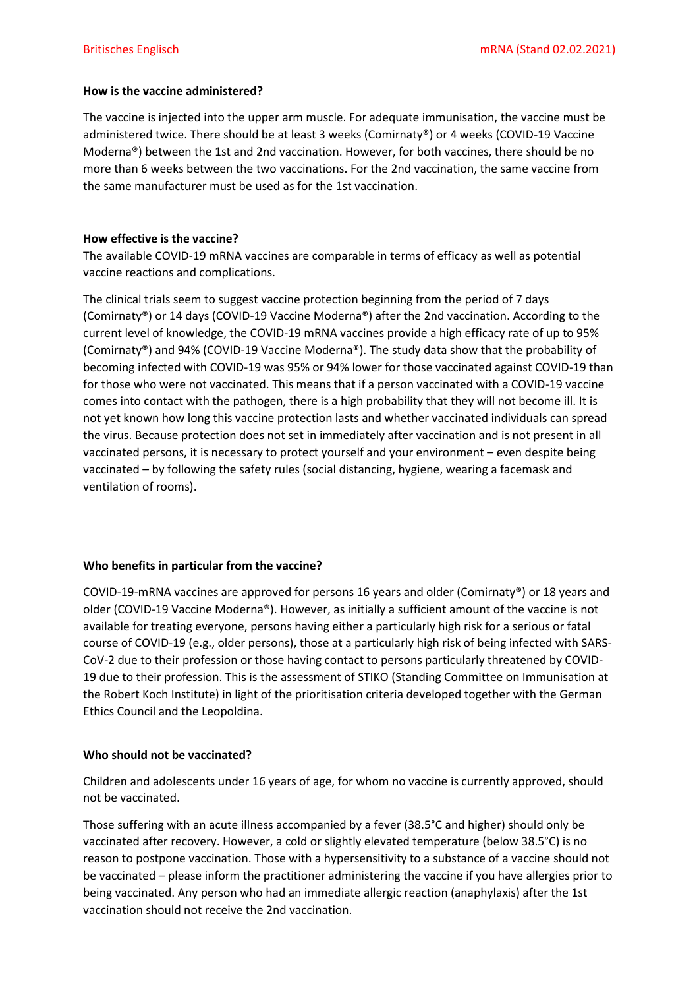# **How is the vaccine administered?**

The vaccine is injected into the upper arm muscle. For adequate immunisation, the vaccine must be administered twice. There should be at least 3 weeks (Comirnaty®) or 4 weeks (COVID-19 Vaccine Moderna®) between the 1st and 2nd vaccination. However, for both vaccines, there should be no more than 6 weeks between the two vaccinations. For the 2nd vaccination, the same vaccine from the same manufacturer must be used as for the 1st vaccination.

# **How effective is the vaccine?**

The available COVID-19 mRNA vaccines are comparable in terms of efficacy as well as potential vaccine reactions and complications.

The clinical trials seem to suggest vaccine protection beginning from the period of 7 days (Comirnaty®) or 14 days (COVID-19 Vaccine Moderna®) after the 2nd vaccination. According to the current level of knowledge, the COVID-19 mRNA vaccines provide a high efficacy rate of up to 95% (Comirnaty®) and 94% (COVID-19 Vaccine Moderna®). The study data show that the probability of becoming infected with COVID-19 was 95% or 94% lower for those vaccinated against COVID-19 than for those who were not vaccinated. This means that if a person vaccinated with a COVID-19 vaccine comes into contact with the pathogen, there is a high probability that they will not become ill. It is not yet known how long this vaccine protection lasts and whether vaccinated individuals can spread the virus. Because protection does not set in immediately after vaccination and is not present in all vaccinated persons, it is necessary to protect yourself and your environment – even despite being vaccinated – by following the safety rules (social distancing, hygiene, wearing a facemask and ventilation of rooms).

# **Who benefits in particular from the vaccine?**

COVID-19-mRNA vaccines are approved for persons 16 years and older (Comirnaty®) or 18 years and older (COVID-19 Vaccine Moderna®). However, as initially a sufficient amount of the vaccine is not available for treating everyone, persons having either a particularly high risk for a serious or fatal course of COVID-19 (e.g., older persons), those at a particularly high risk of being infected with SARS-CoV-2 due to their profession or those having contact to persons particularly threatened by COVID-19 due to their profession. This is the assessment of STIKO (Standing Committee on Immunisation at the Robert Koch Institute) in light of the prioritisation criteria developed together with the German Ethics Council and the Leopoldina.

# **Who should not be vaccinated?**

Children and adolescents under 16 years of age, for whom no vaccine is currently approved, should not be vaccinated.

Those suffering with an acute illness accompanied by a fever (38.5°C and higher) should only be vaccinated after recovery. However, a cold or slightly elevated temperature (below 38.5°C) is no reason to postpone vaccination. Those with a hypersensitivity to a substance of a vaccine should not be vaccinated – please inform the practitioner administering the vaccine if you have allergies prior to being vaccinated. Any person who had an immediate allergic reaction (anaphylaxis) after the 1st vaccination should not receive the 2nd vaccination.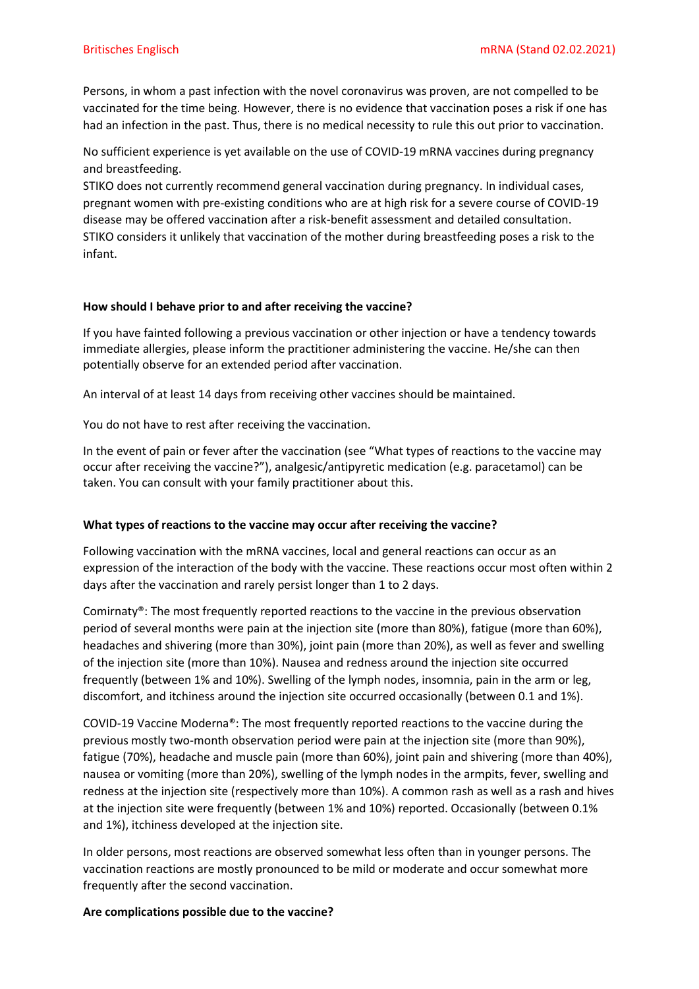Persons, in whom a past infection with the novel coronavirus was proven, are not compelled to be vaccinated for the time being. However, there is no evidence that vaccination poses a risk if one has had an infection in the past. Thus, there is no medical necessity to rule this out prior to vaccination.

No sufficient experience is yet available on the use of COVID-19 mRNA vaccines during pregnancy and breastfeeding.

STIKO does not currently recommend general vaccination during pregnancy. In individual cases, pregnant women with pre-existing conditions who are at high risk for a severe course of COVID-19 disease may be offered vaccination after a risk-benefit assessment and detailed consultation. STIKO considers it unlikely that vaccination of the mother during breastfeeding poses a risk to the infant.

## **How should I behave prior to and after receiving the vaccine?**

If you have fainted following a previous vaccination or other injection or have a tendency towards immediate allergies, please inform the practitioner administering the vaccine. He/she can then potentially observe for an extended period after vaccination.

An interval of at least 14 days from receiving other vaccines should be maintained.

You do not have to rest after receiving the vaccination.

In the event of pain or fever after the vaccination (see "What types of reactions to the vaccine may occur after receiving the vaccine?"), analgesic/antipyretic medication (e.g. paracetamol) can be taken. You can consult with your family practitioner about this.

## **What types of reactions to the vaccine may occur after receiving the vaccine?**

Following vaccination with the mRNA vaccines, local and general reactions can occur as an expression of the interaction of the body with the vaccine. These reactions occur most often within 2 days after the vaccination and rarely persist longer than 1 to 2 days.

Comirnaty®: The most frequently reported reactions to the vaccine in the previous observation period of several months were pain at the injection site (more than 80%), fatigue (more than 60%), headaches and shivering (more than 30%), joint pain (more than 20%), as well as fever and swelling of the injection site (more than 10%). Nausea and redness around the injection site occurred frequently (between 1% and 10%). Swelling of the lymph nodes, insomnia, pain in the arm or leg, discomfort, and itchiness around the injection site occurred occasionally (between 0.1 and 1%).

COVID-19 Vaccine Moderna®: The most frequently reported reactions to the vaccine during the previous mostly two-month observation period were pain at the injection site (more than 90%), fatigue (70%), headache and muscle pain (more than 60%), joint pain and shivering (more than 40%), nausea or vomiting (more than 20%), swelling of the lymph nodes in the armpits, fever, swelling and redness at the injection site (respectively more than 10%). A common rash as well as a rash and hives at the injection site were frequently (between 1% and 10%) reported. Occasionally (between 0.1% and 1%), itchiness developed at the injection site.

In older persons, most reactions are observed somewhat less often than in younger persons. The vaccination reactions are mostly pronounced to be mild or moderate and occur somewhat more frequently after the second vaccination.

#### **Are complications possible due to the vaccine?**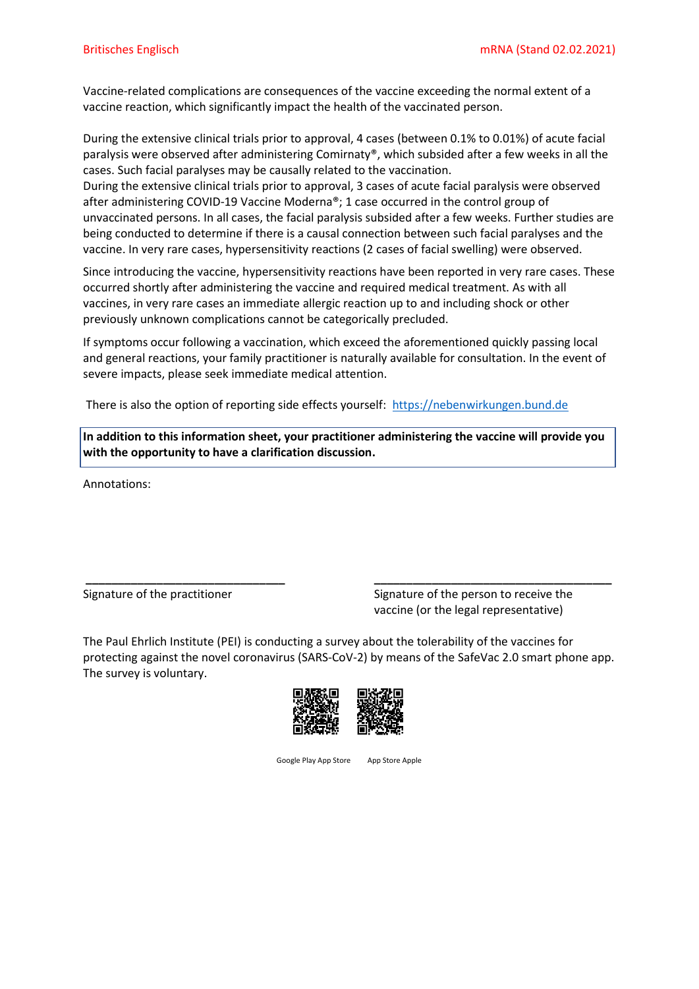Vaccine-related complications are consequences of the vaccine exceeding the normal extent of a vaccine reaction, which significantly impact the health of the vaccinated person.

During the extensive clinical trials prior to approval, 4 cases (between 0.1% to 0.01%) of acute facial paralysis were observed after administering Comirnaty®, which subsided after a few weeks in all the cases. Such facial paralyses may be causally related to the vaccination.

During the extensive clinical trials prior to approval, 3 cases of acute facial paralysis were observed after administering COVID-19 Vaccine Moderna®; 1 case occurred in the control group of unvaccinated persons. In all cases, the facial paralysis subsided after a few weeks. Further studies are being conducted to determine if there is a causal connection between such facial paralyses and the vaccine. In very rare cases, hypersensitivity reactions (2 cases of facial swelling) were observed.

Since introducing the vaccine, hypersensitivity reactions have been reported in very rare cases. These occurred shortly after administering the vaccine and required medical treatment. As with all vaccines, in very rare cases an immediate allergic reaction up to and including shock or other previously unknown complications cannot be categorically precluded.

If symptoms occur following a vaccination, which exceed the aforementioned quickly passing local and general reactions, your family practitioner is naturally available for consultation. In the event of severe impacts, please seek immediate medical attention.

There is also the option of reporting side effects yourself: [https://nebenwirkungen.bund.de](https://nebenwirkungen.bund.de/)

**In addition to this information sheet, your practitioner administering the vaccine will provide you with the opportunity to have a clarification discussion.** 

Annotations:

Signature of the practitioner Signature of the person to receive the vaccine (or the legal representative)

The Paul Ehrlich Institute (PEI) is conducting a survey about the tolerability of the vaccines for protecting against the novel coronavirus (SARS-CoV-2) by means of the SafeVac 2.0 smart phone app. The survey is voluntary.

**\_\_\_\_\_\_\_\_\_\_\_\_\_\_\_\_\_\_\_\_\_\_\_\_\_\_\_\_\_\_\_ \_\_\_\_\_\_\_\_\_\_\_\_\_\_\_\_\_\_\_\_\_\_\_\_\_\_\_\_\_\_\_\_\_\_\_\_\_**





Google Play App Store App Store Apple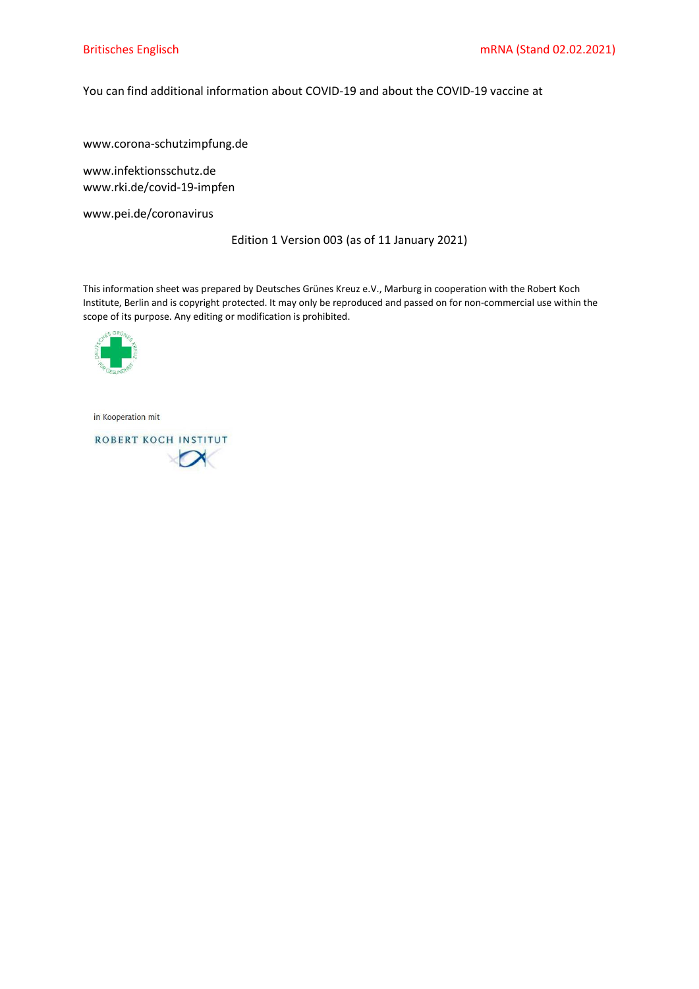# You can find additional information about COVID-19 and about the COVID-19 vaccine at

www.corona-schutzimpfung.de

www.infektionsschutz.de www.rki.de/covid-19-impfen

www.pei.de/coronavirus

Edition 1 Version 003 (as of 11 January 2021)

This information sheet was prepared by Deutsches Grünes Kreuz e.V., Marburg in cooperation with the Robert Koch Institute, Berlin and is copyright protected. It may only be reproduced and passed on for non-commercial use within the scope of its purpose. Any editing or modification is prohibited.



in Kooperation mit

ROBERT KOCH INSTITUT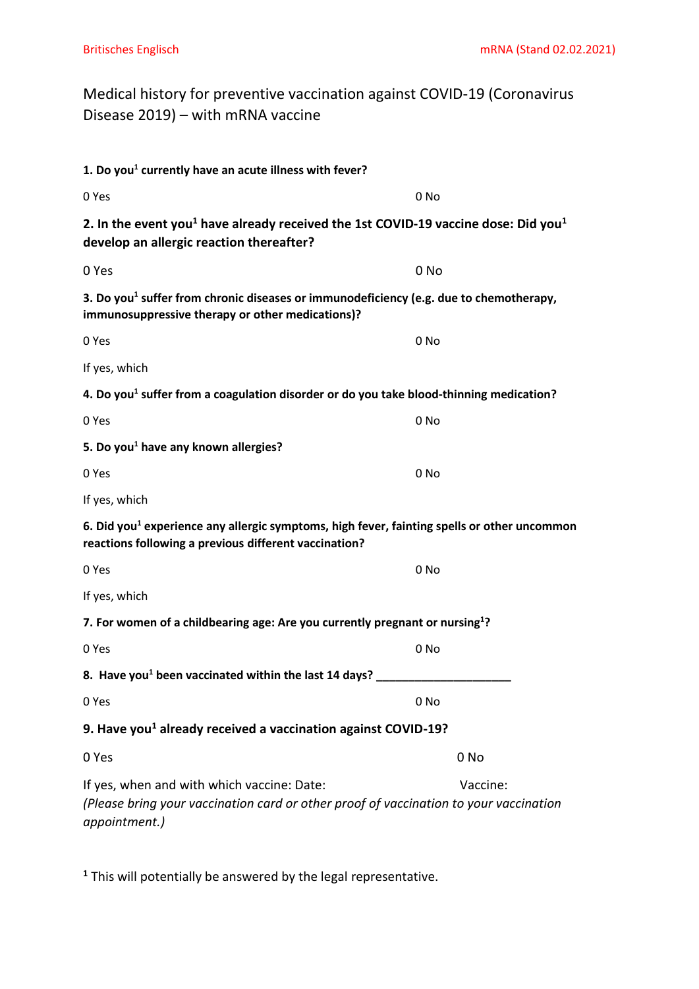Medical history for preventive vaccination against COVID-19 (Coronavirus Disease 2019) – with mRNA vaccine

| 1. Do you <sup>1</sup> currently have an acute illness with fever?<br>0 Yes<br>0 <sub>No</sub><br>2. In the event you <sup>1</sup> have already received the 1st COVID-19 vaccine dose: Did you <sup>1</sup><br>develop an allergic reaction thereafter?<br>0 No<br>0 Yes<br>3. Do you <sup>1</sup> suffer from chronic diseases or immunodeficiency (e.g. due to chemotherapy,<br>immunosuppressive therapy or other medications)?<br>0 Yes<br>0 No<br>If yes, which<br>4. Do you <sup>1</sup> suffer from a coagulation disorder or do you take blood-thinning medication?<br>0 Yes<br>0 No<br>5. Do you <sup>1</sup> have any known allergies?<br>0 Yes<br>0 No<br>If yes, which<br>6. Did you <sup>1</sup> experience any allergic symptoms, high fever, fainting spells or other uncommon<br>reactions following a previous different vaccination?<br>0 Yes<br>0 No<br>If yes, which<br>7. For women of a childbearing age: Are you currently pregnant or nursing <sup>1</sup> ?<br>0 Yes<br>0 No<br>8. Have you <sup>1</sup> been vaccinated within the last 14 days?<br>0 Yes<br>0 No<br>9. Have you <sup>1</sup> already received a vaccination against COVID-19?<br>0 Yes<br>0 No<br>If yes, when and with which vaccine: Date:<br>Vaccine:<br>(Please bring your vaccination card or other proof of vaccination to your vaccination |               |  |
|-----------------------------------------------------------------------------------------------------------------------------------------------------------------------------------------------------------------------------------------------------------------------------------------------------------------------------------------------------------------------------------------------------------------------------------------------------------------------------------------------------------------------------------------------------------------------------------------------------------------------------------------------------------------------------------------------------------------------------------------------------------------------------------------------------------------------------------------------------------------------------------------------------------------------------------------------------------------------------------------------------------------------------------------------------------------------------------------------------------------------------------------------------------------------------------------------------------------------------------------------------------------------------------------------------------------------------------------------|---------------|--|
|                                                                                                                                                                                                                                                                                                                                                                                                                                                                                                                                                                                                                                                                                                                                                                                                                                                                                                                                                                                                                                                                                                                                                                                                                                                                                                                                               |               |  |
|                                                                                                                                                                                                                                                                                                                                                                                                                                                                                                                                                                                                                                                                                                                                                                                                                                                                                                                                                                                                                                                                                                                                                                                                                                                                                                                                               |               |  |
|                                                                                                                                                                                                                                                                                                                                                                                                                                                                                                                                                                                                                                                                                                                                                                                                                                                                                                                                                                                                                                                                                                                                                                                                                                                                                                                                               |               |  |
|                                                                                                                                                                                                                                                                                                                                                                                                                                                                                                                                                                                                                                                                                                                                                                                                                                                                                                                                                                                                                                                                                                                                                                                                                                                                                                                                               |               |  |
|                                                                                                                                                                                                                                                                                                                                                                                                                                                                                                                                                                                                                                                                                                                                                                                                                                                                                                                                                                                                                                                                                                                                                                                                                                                                                                                                               |               |  |
|                                                                                                                                                                                                                                                                                                                                                                                                                                                                                                                                                                                                                                                                                                                                                                                                                                                                                                                                                                                                                                                                                                                                                                                                                                                                                                                                               |               |  |
|                                                                                                                                                                                                                                                                                                                                                                                                                                                                                                                                                                                                                                                                                                                                                                                                                                                                                                                                                                                                                                                                                                                                                                                                                                                                                                                                               |               |  |
|                                                                                                                                                                                                                                                                                                                                                                                                                                                                                                                                                                                                                                                                                                                                                                                                                                                                                                                                                                                                                                                                                                                                                                                                                                                                                                                                               |               |  |
|                                                                                                                                                                                                                                                                                                                                                                                                                                                                                                                                                                                                                                                                                                                                                                                                                                                                                                                                                                                                                                                                                                                                                                                                                                                                                                                                               |               |  |
|                                                                                                                                                                                                                                                                                                                                                                                                                                                                                                                                                                                                                                                                                                                                                                                                                                                                                                                                                                                                                                                                                                                                                                                                                                                                                                                                               |               |  |
|                                                                                                                                                                                                                                                                                                                                                                                                                                                                                                                                                                                                                                                                                                                                                                                                                                                                                                                                                                                                                                                                                                                                                                                                                                                                                                                                               |               |  |
|                                                                                                                                                                                                                                                                                                                                                                                                                                                                                                                                                                                                                                                                                                                                                                                                                                                                                                                                                                                                                                                                                                                                                                                                                                                                                                                                               |               |  |
|                                                                                                                                                                                                                                                                                                                                                                                                                                                                                                                                                                                                                                                                                                                                                                                                                                                                                                                                                                                                                                                                                                                                                                                                                                                                                                                                               |               |  |
|                                                                                                                                                                                                                                                                                                                                                                                                                                                                                                                                                                                                                                                                                                                                                                                                                                                                                                                                                                                                                                                                                                                                                                                                                                                                                                                                               |               |  |
|                                                                                                                                                                                                                                                                                                                                                                                                                                                                                                                                                                                                                                                                                                                                                                                                                                                                                                                                                                                                                                                                                                                                                                                                                                                                                                                                               |               |  |
|                                                                                                                                                                                                                                                                                                                                                                                                                                                                                                                                                                                                                                                                                                                                                                                                                                                                                                                                                                                                                                                                                                                                                                                                                                                                                                                                               |               |  |
|                                                                                                                                                                                                                                                                                                                                                                                                                                                                                                                                                                                                                                                                                                                                                                                                                                                                                                                                                                                                                                                                                                                                                                                                                                                                                                                                               |               |  |
|                                                                                                                                                                                                                                                                                                                                                                                                                                                                                                                                                                                                                                                                                                                                                                                                                                                                                                                                                                                                                                                                                                                                                                                                                                                                                                                                               |               |  |
|                                                                                                                                                                                                                                                                                                                                                                                                                                                                                                                                                                                                                                                                                                                                                                                                                                                                                                                                                                                                                                                                                                                                                                                                                                                                                                                                               |               |  |
|                                                                                                                                                                                                                                                                                                                                                                                                                                                                                                                                                                                                                                                                                                                                                                                                                                                                                                                                                                                                                                                                                                                                                                                                                                                                                                                                               |               |  |
|                                                                                                                                                                                                                                                                                                                                                                                                                                                                                                                                                                                                                                                                                                                                                                                                                                                                                                                                                                                                                                                                                                                                                                                                                                                                                                                                               |               |  |
|                                                                                                                                                                                                                                                                                                                                                                                                                                                                                                                                                                                                                                                                                                                                                                                                                                                                                                                                                                                                                                                                                                                                                                                                                                                                                                                                               | appointment.) |  |

**<sup>1</sup>** This will potentially be answered by the legal representative.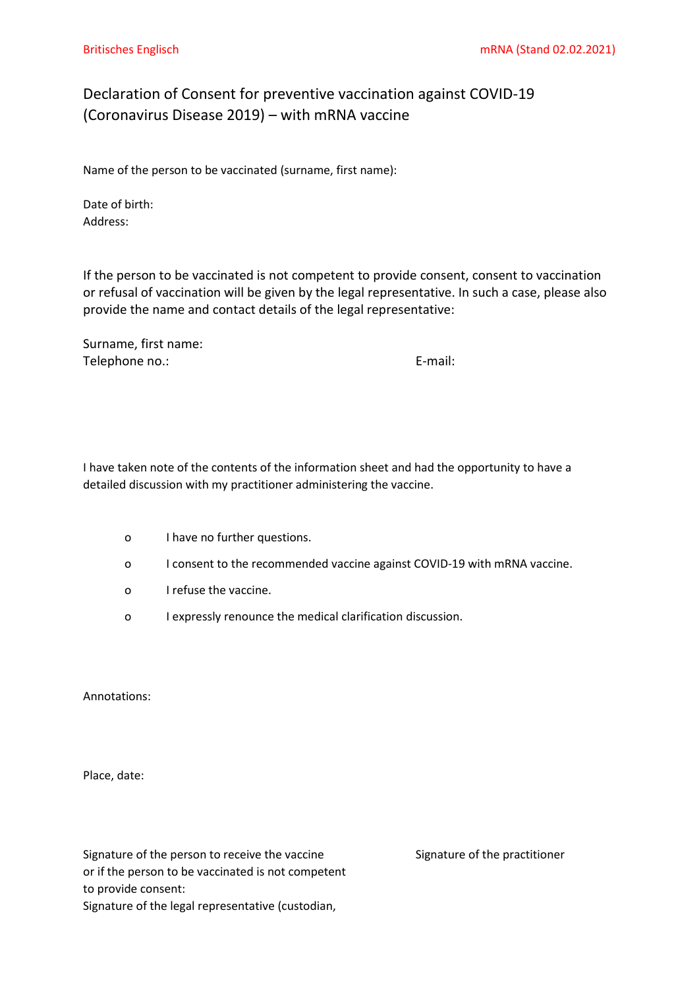# Declaration of Consent for preventive vaccination against COVID-19 (Coronavirus Disease 2019) – with mRNA vaccine

Name of the person to be vaccinated (surname, first name):

Date of birth: Address:

If the person to be vaccinated is not competent to provide consent, consent to vaccination or refusal of vaccination will be given by the legal representative. In such a case, please also provide the name and contact details of the legal representative:

Surname, first name: Telephone no.: E-mail:

I have taken note of the contents of the information sheet and had the opportunity to have a detailed discussion with my practitioner administering the vaccine.

- o I have no further questions.
- o I consent to the recommended vaccine against COVID-19 with mRNA vaccine.
- o I refuse the vaccine.
- o I expressly renounce the medical clarification discussion.

Annotations:

Place, date:

Signature of the person to receive the vaccine Signature of the practitioner or if the person to be vaccinated is not competent to provide consent: Signature of the legal representative (custodian,